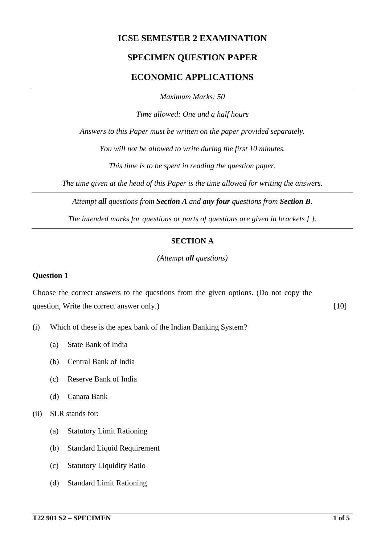## **ICSE SEMESTER 2 EXAMINATION**

### **SPECIMEN QUESTION PAPER**

### **ECONOMIC APPLICATIONS**

*Maximum Marks: 50*

*Time allowed: One and a half hours*

*Answers to this Paper must be written on the paper provided separately.*

*You will not be allowed to write during the first 10 minutes.*

*This time is to be spent in reading the question paper.*

*The time given at the head of this Paper is the time allowed for writing the answers.*

*Attempt all questions from Section A and any four questions from Section B.*

*The intended marks for questions or parts of questions are given in brackets [ ].*

#### **SECTION A**

*(Attempt all questions)*

#### **Question 1**

Choose the correct answers to the questions from the given options. (Do not copy the question, Write the correct answer only.) [10]

- (i) Which of these is the apex bank of the Indian Banking System?
	- (a) State Bank of India
	- (b) Central Bank of India
	- (c) Reserve Bank of India
	- (d) Canara Bank
- (ii) SLR stands for:
	- (a) Statutory Limit Rationing
	- (b) Standard Liquid Requirement
	- (c) Statutory Liquidity Ratio
	- (d) Standard Limit Rationing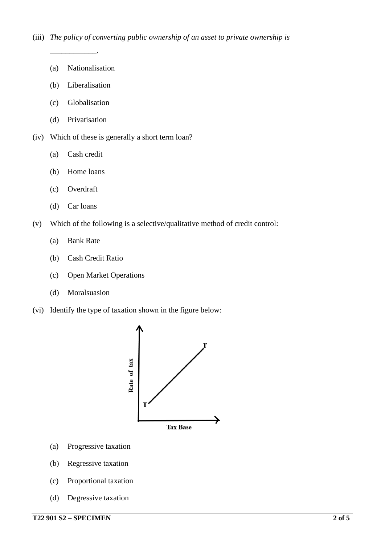(a) Nationalisation

*\_\_\_\_\_\_\_\_\_\_\_\_.*

- (b) Liberalisation
- (c) Globalisation
- (d) Privatisation
- (iv) Which of these is generally a short term loan?
	- (a) Cash credit
	- (b) Home loans
	- (c) Overdraft
	- (d) Car loans
- (v) Which of the following is a selective/qualitative method of credit control:
	- (a) Bank Rate
	- (b) Cash Credit Ratio
	- (c) Open Market Operations
	- (d) Moralsuasion
- (vi) Identify the type of taxation shown in the figure below:



- (a) Progressive taxation
- (b) Regressive taxation
- (c) Proportional taxation
- (d) Degressive taxation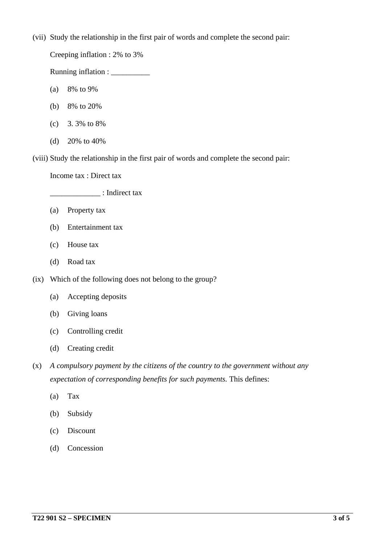(vii) Study the relationship in the first pair of words and complete the second pair:

Creeping inflation : 2% to 3%

Running inflation :

- (a) 8% to 9%
- (b) 8% to 20%
- (c) 3. 3% to 8%
- (d) 20% to 40%

(viii) Study the relationship in the first pair of words and complete the second pair:

Income tax : Direct tax

\_\_\_\_\_\_\_\_\_\_\_\_\_ : Indirect tax

- (a) Property tax
- (b) Entertainment tax
- (c) House tax
- (d) Road tax
- (ix) Which of the following does not belong to the group?
	- (a) Accepting deposits
	- (b) Giving loans
	- (c) Controlling credit
	- (d) Creating credit
- (x) *A compulsory payment by the citizens of the country to the government without any expectation of corresponding benefits for such payments.* This defines:
	- (a) Tax
	- (b) Subsidy
	- (c) Discount
	- (d) Concession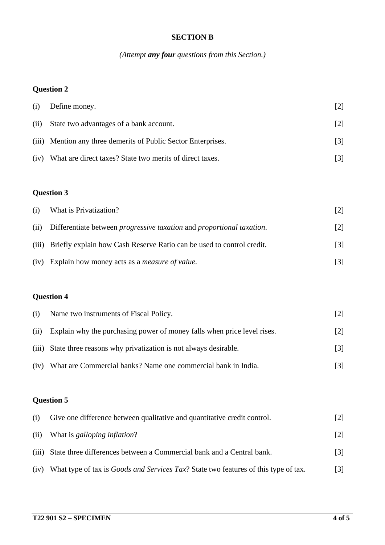#### **SECTION B**

*(Attempt any four questions from this Section.)*

# **Question 2**

| (i)  | Define money.                                                  | $\lceil 2 \rceil$ |
|------|----------------------------------------------------------------|-------------------|
| (ii) | State two advantages of a bank account.                        | $\lceil 2 \rceil$ |
|      | (iii) Mention any three demerits of Public Sector Enterprises. | $\lceil 3 \rceil$ |
| (iv) | What are direct taxes? State two merits of direct taxes.       |                   |

# **Question 3**

| (i)  | What is Privatization?                                                               |                   |
|------|--------------------------------------------------------------------------------------|-------------------|
| (ii) | Differentiate between <i>progressive taxation</i> and <i>proportional taxation</i> . | $\lceil 2 \rceil$ |
|      | (iii) Briefly explain how Cash Reserve Ratio can be used to control credit.          | $\lceil 3 \rceil$ |
|      | (iv) Explain how money acts as a <i>measure of value</i> .                           | $\lceil 3 \rceil$ |

# **Question 4**

|      | (i) Name two instruments of Fiscal Policy.                              | $\lceil 2 \rceil$ |
|------|-------------------------------------------------------------------------|-------------------|
| (ii) | Explain why the purchasing power of money falls when price level rises. | $\lceil 2 \rceil$ |
|      | (iii) State three reasons why privatization is not always desirable.    | $\lceil 3 \rceil$ |
| (iv) | What are Commercial banks? Name one commercial bank in India.           | $\lceil 3 \rceil$ |

# **Question 5**

| (i)   | Give one difference between qualitative and quantitative credit control.                    |     |
|-------|---------------------------------------------------------------------------------------------|-----|
| (ii)  | What is <i>galloping inflation</i> ?                                                        |     |
| (iii) | State three differences between a Commercial bank and a Central bank.                       | [3] |
| (iv)  | What type of tax is <i>Goods and Services Tax</i> ? State two features of this type of tax. |     |